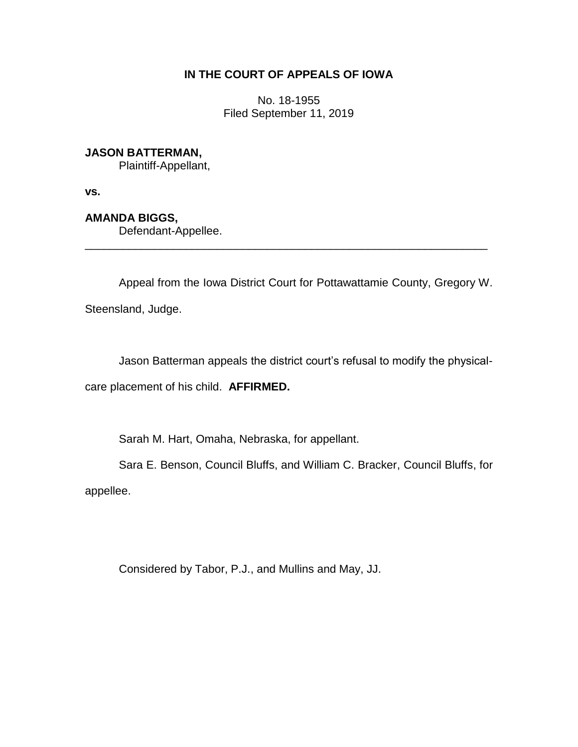## **IN THE COURT OF APPEALS OF IOWA**

No. 18-1955 Filed September 11, 2019

## **JASON BATTERMAN,**

Plaintiff-Appellant,

**vs.**

## **AMANDA BIGGS,**

Defendant-Appellee.

Appeal from the Iowa District Court for Pottawattamie County, Gregory W.

\_\_\_\_\_\_\_\_\_\_\_\_\_\_\_\_\_\_\_\_\_\_\_\_\_\_\_\_\_\_\_\_\_\_\_\_\_\_\_\_\_\_\_\_\_\_\_\_\_\_\_\_\_\_\_\_\_\_\_\_\_\_\_\_

Steensland, Judge.

Jason Batterman appeals the district court's refusal to modify the physical-

care placement of his child. **AFFIRMED.**

Sarah M. Hart, Omaha, Nebraska, for appellant.

Sara E. Benson, Council Bluffs, and William C. Bracker, Council Bluffs, for

appellee.

Considered by Tabor, P.J., and Mullins and May, JJ.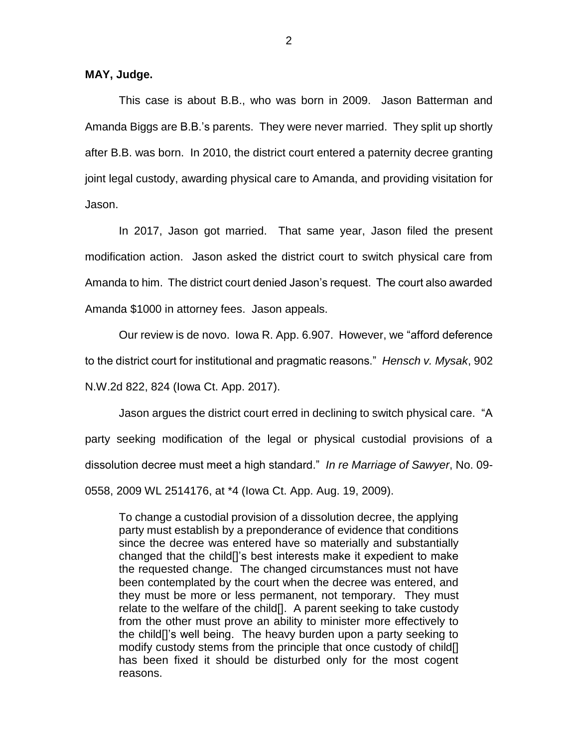This case is about B.B., who was born in 2009. Jason Batterman and Amanda Biggs are B.B.'s parents. They were never married. They split up shortly after B.B. was born. In 2010, the district court entered a paternity decree granting joint legal custody, awarding physical care to Amanda, and providing visitation for Jason.

In 2017, Jason got married. That same year, Jason filed the present modification action. Jason asked the district court to switch physical care from Amanda to him. The district court denied Jason's request. The court also awarded Amanda \$1000 in attorney fees. Jason appeals.

Our review is de novo. Iowa R. App. 6.907. However, we "afford deference to the district court for institutional and pragmatic reasons." *Hensch v. Mysak*, 902 N.W.2d 822, 824 (Iowa Ct. App. 2017).

Jason argues the district court erred in declining to switch physical care. "A party seeking modification of the legal or physical custodial provisions of a dissolution decree must meet a high standard." *In re Marriage of Sawyer*, No. 09- 0558, 2009 WL 2514176, at \*4 (Iowa Ct. App. Aug. 19, 2009).

To change a custodial provision of a dissolution decree, the applying party must establish by a preponderance of evidence that conditions since the decree was entered have so materially and substantially changed that the child[]'s best interests make it expedient to make the requested change. The changed circumstances must not have been contemplated by the court when the decree was entered, and they must be more or less permanent, not temporary. They must relate to the welfare of the child[]. A parent seeking to take custody from the other must prove an ability to minister more effectively to the child[]'s well being. The heavy burden upon a party seeking to modify custody stems from the principle that once custody of child[] has been fixed it should be disturbed only for the most cogent reasons.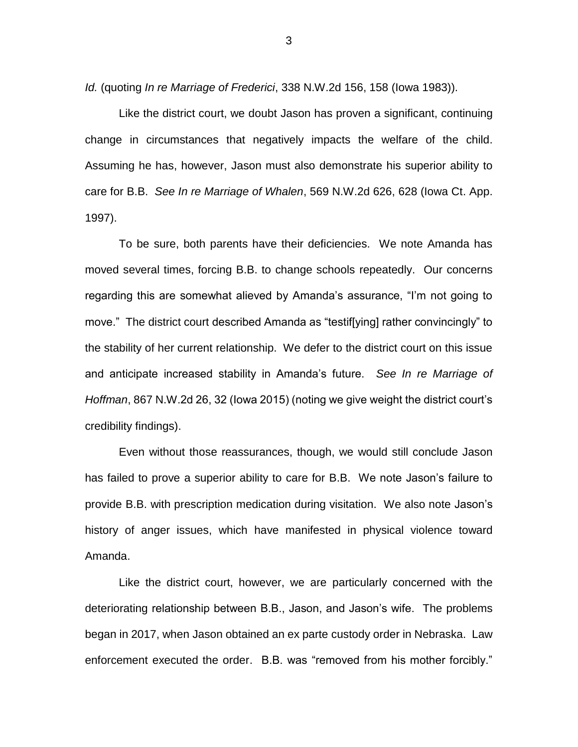*Id.* (quoting *In re Marriage of Frederici*, 338 N.W.2d 156, 158 (Iowa 1983)).

Like the district court, we doubt Jason has proven a significant, continuing change in circumstances that negatively impacts the welfare of the child. Assuming he has, however, Jason must also demonstrate his superior ability to care for B.B. *See In re Marriage of Whalen*, 569 N.W.2d 626, 628 (Iowa Ct. App. 1997).

To be sure, both parents have their deficiencies. We note Amanda has moved several times, forcing B.B. to change schools repeatedly. Our concerns regarding this are somewhat alieved by Amanda's assurance, "I'm not going to move." The district court described Amanda as "testif[ying] rather convincingly" to the stability of her current relationship. We defer to the district court on this issue and anticipate increased stability in Amanda's future. *See In re Marriage of Hoffman*, 867 N.W.2d 26, 32 (Iowa 2015) (noting we give weight the district court's credibility findings).

Even without those reassurances, though, we would still conclude Jason has failed to prove a superior ability to care for B.B. We note Jason's failure to provide B.B. with prescription medication during visitation. We also note Jason's history of anger issues, which have manifested in physical violence toward Amanda.

Like the district court, however, we are particularly concerned with the deteriorating relationship between B.B., Jason, and Jason's wife. The problems began in 2017, when Jason obtained an ex parte custody order in Nebraska. Law enforcement executed the order. B.B. was "removed from his mother forcibly."

3